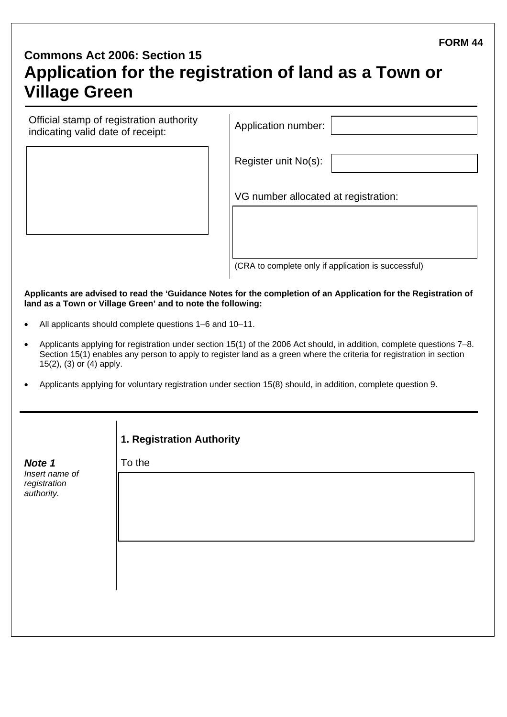#### **FORM 44**

# **Commons Act 2006: Section 15 Application for the registration of land as a Town or Village Green**

| Application number: |
|---------------------|
|                     |

| pplication number: |  |
|--------------------|--|
|                    |  |

Register unit No(s):

VG number allocated at registration:

(CRA to complete only if application is successful)

**Applicants are advised to read the 'Guidance Notes for the completion of an Application for the Registration of land as a Town or Village Green' and to note the following:** 

- All applicants should complete questions 1–6 and 10–11.
- Applicants applying for registration under section 15(1) of the 2006 Act should, in addition, complete questions 7–8. Section 15(1) enables any person to apply to register land as a green where the criteria for registration in section 15(2), (3) or (4) apply.
- Applicants applying for voluntary registration under section 15(8) should, in addition, complete question 9.

|                                                        | 1. Registration Authority |
|--------------------------------------------------------|---------------------------|
| Note 1<br>Insert name of<br>registration<br>authority. | To the                    |
|                                                        |                           |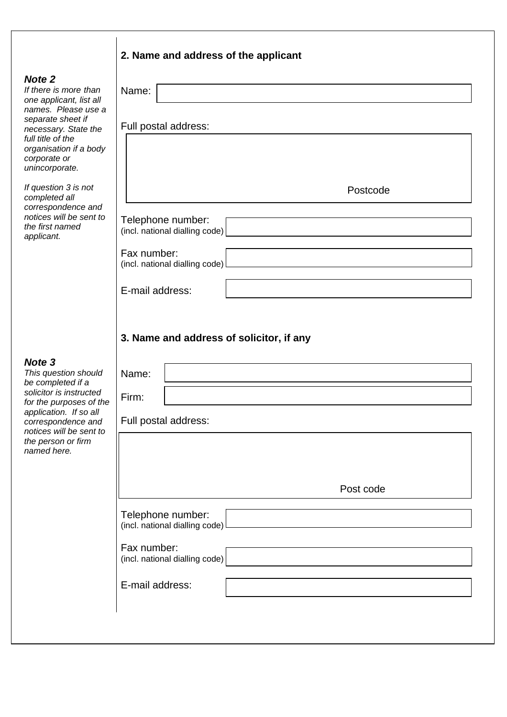## **2. Name and address of the applicant**

#### *Note 2*

| <b>Note 2</b><br>If there is more than<br>one applicant, list all                                                                                 | Name:                                               |
|---------------------------------------------------------------------------------------------------------------------------------------------------|-----------------------------------------------------|
| names. Please use a<br>separate sheet if<br>necessary. State the<br>full title of the<br>organisation if a body<br>corporate or<br>unincorporate. | Full postal address:                                |
| If question 3 is not<br>completed all                                                                                                             | Postcode                                            |
| correspondence and<br>notices will be sent to<br>the first named<br>applicant.                                                                    | Telephone number:<br>(incl. national dialling code) |
|                                                                                                                                                   | Fax number:<br>(incl. national dialling code)       |
|                                                                                                                                                   | E-mail address:                                     |
|                                                                                                                                                   | 3. Name and address of solicitor, if any            |
| Note <sub>3</sub><br>This question should<br>be completed if a                                                                                    | Name:                                               |
| solicitor is instructed<br>for the purposes of the                                                                                                | Firm:                                               |
| application. If so all<br>correspondence and<br>notices will be sent to                                                                           | Full postal address:                                |
| the person or firm<br>named here.                                                                                                                 |                                                     |
|                                                                                                                                                   | Post code                                           |
|                                                                                                                                                   | Telephone number:<br>(incl. national dialling code) |
|                                                                                                                                                   | Fax number:<br>(incl. national dialling code)       |
|                                                                                                                                                   | E-mail address:                                     |
|                                                                                                                                                   |                                                     |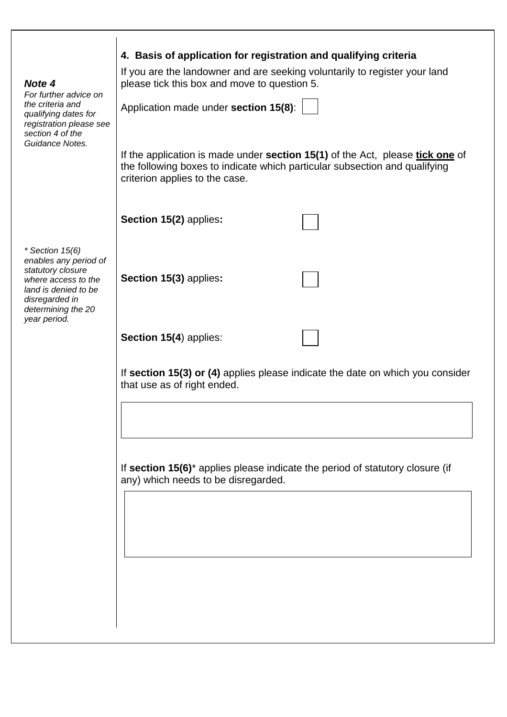| Note 4<br>For further advice on<br>the criteria and<br>qualifying dates for<br>registration please see<br>section 4 of the<br>Guidance Notes.          | 4. Basis of application for registration and qualifying criteria<br>If you are the landowner and are seeking voluntarily to register your land<br>please tick this box and move to question 5.<br>Application made under section 15(8):<br>If the application is made under <b>section 15(1)</b> of the Act, please <b>tick one</b> of<br>the following boxes to indicate which particular subsection and qualifying<br>criterion applies to the case. |
|--------------------------------------------------------------------------------------------------------------------------------------------------------|--------------------------------------------------------------------------------------------------------------------------------------------------------------------------------------------------------------------------------------------------------------------------------------------------------------------------------------------------------------------------------------------------------------------------------------------------------|
|                                                                                                                                                        | Section 15(2) applies:                                                                                                                                                                                                                                                                                                                                                                                                                                 |
| * Section $15(6)$<br>enables any period of<br>statutory closure<br>where access to the<br>land is denied to be<br>disregarded in<br>determining the 20 | Section 15(3) applies:                                                                                                                                                                                                                                                                                                                                                                                                                                 |
| year period.                                                                                                                                           | Section 15(4) applies:                                                                                                                                                                                                                                                                                                                                                                                                                                 |
|                                                                                                                                                        | If section 15(3) or (4) applies please indicate the date on which you consider<br>that use as of right ended.                                                                                                                                                                                                                                                                                                                                          |
|                                                                                                                                                        | If section 15(6) <sup>*</sup> applies please indicate the period of statutory closure (if<br>any) which needs to be disregarded.                                                                                                                                                                                                                                                                                                                       |
|                                                                                                                                                        |                                                                                                                                                                                                                                                                                                                                                                                                                                                        |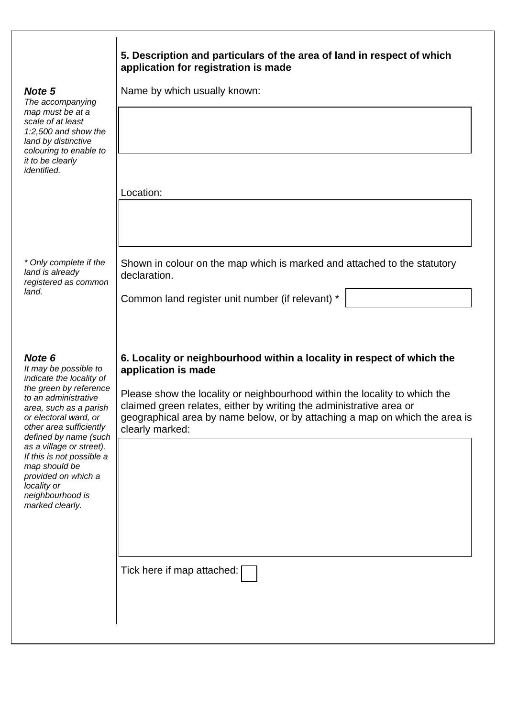| 5. Description and particulars of the area of land in respect of which |
|------------------------------------------------------------------------|
| application for registration is made                                   |

Name by which usually known:

Location:

*\* Only complete if the land is already registered as common land.*

Shown in colour on the map which is marked and attached to the statutory declaration.

Common land register unit number (if relevant) \*

### *Note 6*

*It may be possible to indicate the locality of the green by reference to an administrative area, such as a parish or electoral ward, or other area sufficiently defined by name (such as a village or street). If this is not possible a map should be provided on which a locality or neighbourhood is marked clearly.* 

#### **6. Locality or neighbourhood within a locality in respect of which the application is made**

Please show the locality or neighbourhood within the locality to which the claimed green relates, either by writing the administrative area or geographical area by name below, or by attaching a map on which the area is clearly marked:

Tick here if map attached:

## *Note 5*

*The accompanying map must be at a scale of at least 1:2,500 and show the land by distinctive colouring to enable to it to be clearly identified.*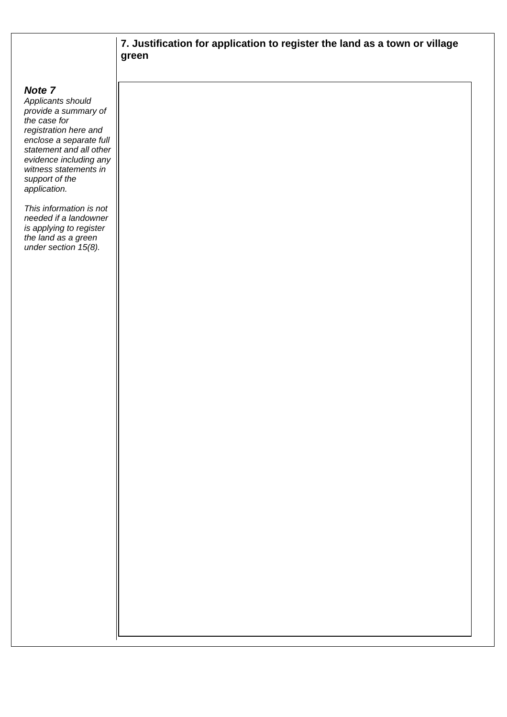## **7. Justification for application to register the land as a town or village green**

#### *Note 7*

*Applicants should provide a summary of the case for registration here and enclose a separate full statement and all other evidence including any witness statements in support of the application.* 

*This information is not needed if a landowner is applying to register the land as a green under section 15(8).*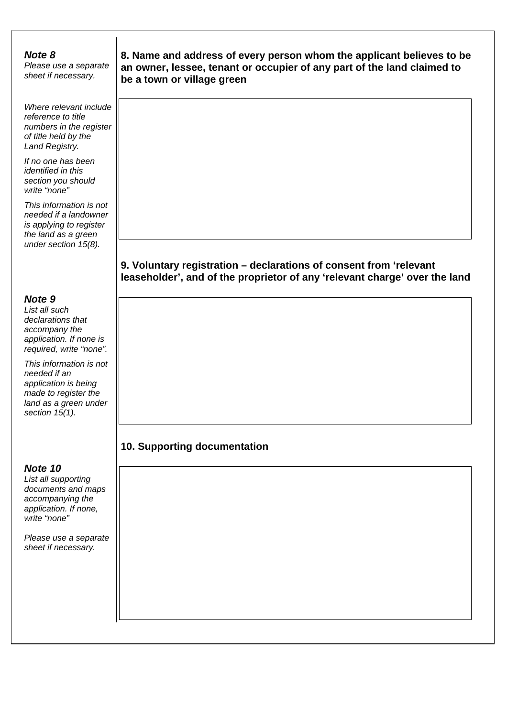#### *Note 8*

*Please use a separate sheet if necessary.*

*Where relevant include reference to title numbers in the register of title held by the Land Registry.* 

*If no one has been identified in this section you should write "none"* 

*This information is not needed if a landowner is applying to register the land as a green under section 15(8).* 

### *Note 9*

*List all such declarations that accompany the application. If none is required, write "none".* 

*This information is not needed if an application is being made to register the land as a green under section 15(1).* 

#### *Note 10*

*List all supporting documents and maps accompanying the application. If none, write "none"*

*Please use a separate sheet if necessary.* 

**8. Name and address of every person whom the applicant believes to be an owner, lessee, tenant or occupier of any part of the land claimed to be a town or village green** 

## **9. Voluntary registration – declarations of consent from 'relevant leaseholder', and of the proprietor of any 'relevant charge' over the land**

## **10. Supporting documentation**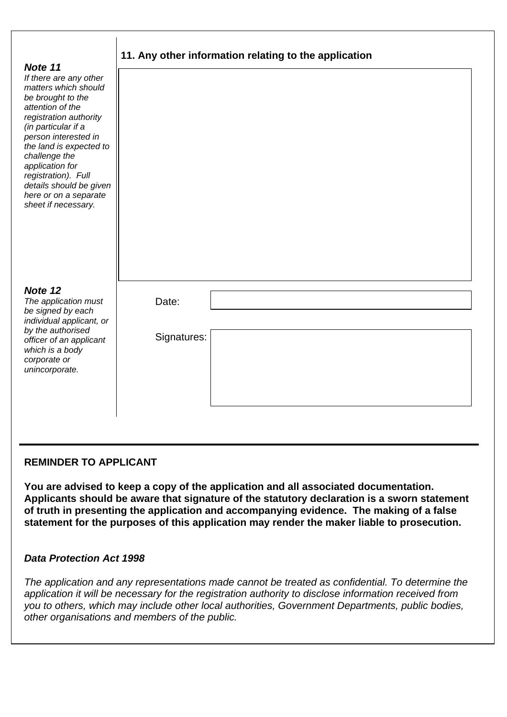| Note 11                                                                                                                                                                                                                                                                                                                           | 11. Any other information relating to the application |
|-----------------------------------------------------------------------------------------------------------------------------------------------------------------------------------------------------------------------------------------------------------------------------------------------------------------------------------|-------------------------------------------------------|
| If there are any other<br>matters which should<br>be brought to the<br>attention of the<br>registration authority<br>(in particular if a<br>person interested in<br>the land is expected to<br>challenge the<br>application for<br>registration). Full<br>details should be given<br>here or on a separate<br>sheet if necessary. |                                                       |
| Note 12<br>The application must<br>be signed by each<br>individual applicant, or<br>by the authorised<br>officer of an applicant<br>which is a body<br>corporate or<br>unincorporate.                                                                                                                                             | Date:<br>Signatures:                                  |

#### **REMINDER TO APPLICANT**

**You are advised to keep a copy of the application and all associated documentation. Applicants should be aware that signature of the statutory declaration is a sworn statement of truth in presenting the application and accompanying evidence. The making of a false statement for the purposes of this application may render the maker liable to prosecution.** 

#### *Data Protection Act 1998*

*The application and any representations made cannot be treated as confidential. To determine the application it will be necessary for the registration authority to disclose information received from you to others, which may include other local authorities, Government Departments, public bodies, other organisations and members of the public.*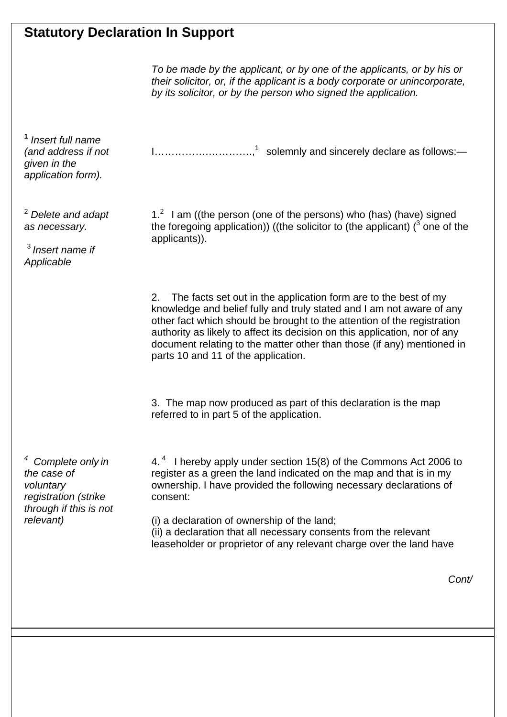## **Statutory Declaration In Support**

 *To be made by the applicant, or by one of the applicants, or by his or their solicitor, or, if the applicant is a body corporate or unincorporate, by its solicitor, or by the person who signed the application.* 

I…………….………….,1 solemnly and sincerely declare as follows:—

**<sup>1</sup>** *Insert full name (and address if not given in the application form).* 

<sup>2</sup> *Delete and adapt as necessary.* 

<sup>3</sup>*Insert name if Applicable* 

 $1<sup>2</sup>$  I am ((the person (one of the persons) who (has) (have) signed the foregoing application)) ((the solicitor to (the applicant) ( $3$  one of the applicants)).

 2. The facts set out in the application form are to the best of my knowledge and belief fully and truly stated and I am not aware of any other fact which should be brought to the attention of the registration authority as likely to affect its decision on this application, nor of any document relating to the matter other than those (if any) mentioned in parts 10 and 11 of the application.

3. The map now produced as part of this declaration is the map referred to in part 5 of the application.

*4 Complete only in the case of voluntary registration (strike through if this is not relevant)*

4.<sup>4</sup> I hereby apply under section 15(8) of the Commons Act 2006 to register as a green the land indicated on the map and that is in my ownership. I have provided the following necessary declarations of consent:

(i) a declaration of ownership of the land; (ii) a declaration that all necessary consents from the relevant leaseholder or proprietor of any relevant charge over the land have

*Cont/*